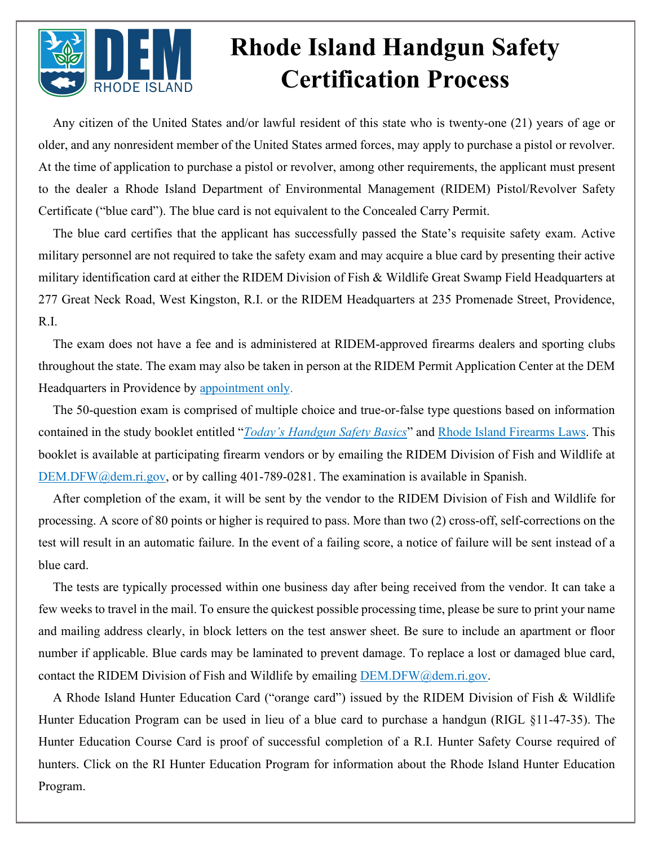

## **Rhode Island Handgun Safety Certification Process**

Any citizen of the United States and/or lawful resident of this state who is twenty-one (21) years of age or older, and any nonresident member of the United States armed forces, may apply to purchase a pistol or revolver. At the time of application to purchase a pistol or revolver, among other requirements, the applicant must present to the dealer a Rhode Island Department of Environmental Management (RIDEM) Pistol/Revolver Safety Certificate ("blue card"). The blue card is not equivalent to the Concealed Carry Permit.

The blue card certifies that the applicant has successfully passed the State's requisite safety exam. Active military personnel are not required to take the safety exam and may acquire a blue card by presenting their active military identification card at either the RIDEM Division of Fish & Wildlife Great Swamp Field Headquarters at 277 Great Neck Road, West Kingston, R.I. or the RIDEM Headquarters at 235 Promenade Street, Providence, R.I.

The exam does not have a fee and is administered at RIDEM-approved firearms dealers and sporting clubs throughout the state. The exam may also be taken in person at the RIDEM Permit Application Center at the DEM Headquarters in Providence by [appointment only.](https://ridem.wufoo.com/forms/mfibkyf1q02x4s/)

The 50-question exam is comprised of multiple choice and true-or-false type questions based on information contained in the study booklet entitled "*[Today's Handgun Safety Basics](https://www.handgunsafetycourse.com/rhodeisland/studyGuide/601039/)*" and [Rhode Island Firearms Laws.](http://www.dem.ri.gov/programs/bnatres/fishwild/pdf/pisrecer.pdf) This booklet is available at participating firearm vendors or by emailing the RIDEM Division of Fish and Wildlife at [DEM.DFW@dem.ri.gov,](mailto:DEM.DFW@dem.ri.gov) or by calling 401-789-0281. The examination is available in Spanish.

After completion of the exam, it will be sent by the vendor to the RIDEM Division of Fish and Wildlife for processing. A score of 80 points or higher is required to pass. More than two (2) cross-off, self-corrections on the test will result in an automatic failure. In the event of a failing score, a notice of failure will be sent instead of a blue card.

The tests are typically processed within one business day after being received from the vendor. It can take a few weeks to travel in the mail. To ensure the quickest possible processing time, please be sure to print your name and mailing address clearly, in block letters on the test answer sheet. Be sure to include an apartment or floor number if applicable. Blue cards may be laminated to prevent damage. To replace a lost or damaged blue card, contact the RIDEM Division of Fish and Wildlife by emailing [DEM.DFW@dem.ri.gov.](mailto:dem.dfw@dem.ri.gov?subject=Blue%20Card%20Program)

A Rhode Island Hunter Education Card ("orange card") issued by the RIDEM Division of Fish & Wildlife Hunter Education Program can be used in lieu of a blue card to purchase a handgun (RIGL §11-47-35). The Hunter Education Course Card is proof of successful completion of a R.I. Hunter Safety Course required of hunters. Click on the [RI Hunter Education Program](http://www.dem.ri.gov/programs/fish-wildlife/wildlifehuntered/index.php) for information about the Rhode Island Hunter Education Program.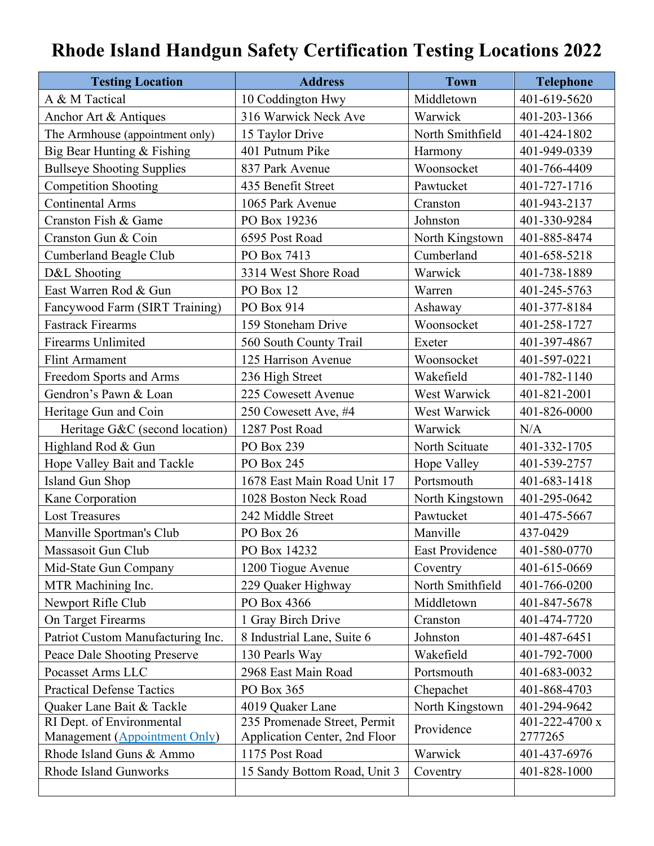## **Rhode Island Handgun Safety Certification Testing Locations 2022**

| <b>Testing Location</b>           | <b>Address</b>                | <b>Town</b>      | <b>Telephone</b> |
|-----------------------------------|-------------------------------|------------------|------------------|
| A & M Tactical                    | 10 Coddington Hwy             | Middletown       | 401-619-5620     |
| Anchor Art & Antiques             | 316 Warwick Neck Ave          | Warwick          | 401-203-1366     |
| The Armhouse (appointment only)   | 15 Taylor Drive               | North Smithfield | 401-424-1802     |
| Big Bear Hunting & Fishing        | 401 Putnum Pike               | Harmony          | 401-949-0339     |
| <b>Bullseye Shooting Supplies</b> | 837 Park Avenue               | Woonsocket       | 401-766-4409     |
| <b>Competition Shooting</b>       | 435 Benefit Street            | Pawtucket        | 401-727-1716     |
| <b>Continental Arms</b>           | 1065 Park Avenue              | Cranston         | 401-943-2137     |
| Cranston Fish & Game              | PO Box 19236                  | Johnston         | 401-330-9284     |
| Cranston Gun & Coin               | 6595 Post Road                | North Kingstown  | 401-885-8474     |
| Cumberland Beagle Club            | PO Box 7413                   | Cumberland       | 401-658-5218     |
| D&L Shooting                      | 3314 West Shore Road          | Warwick          | 401-738-1889     |
| East Warren Rod & Gun             | PO Box 12                     | Warren           | 401-245-5763     |
| Fancywood Farm (SIRT Training)    | PO Box 914                    | Ashaway          | 401-377-8184     |
| <b>Fastrack Firearms</b>          | 159 Stoneham Drive            | Woonsocket       | 401-258-1727     |
| <b>Firearms Unlimited</b>         | 560 South County Trail        | Exeter           | 401-397-4867     |
| <b>Flint Armament</b>             | 125 Harrison Avenue           | Woonsocket       | 401-597-0221     |
| Freedom Sports and Arms           | 236 High Street               | Wakefield        | 401-782-1140     |
| Gendron's Pawn & Loan             | 225 Cowesett Avenue           | West Warwick     | 401-821-2001     |
| Heritage Gun and Coin             | 250 Cowesett Ave, #4          | West Warwick     | 401-826-0000     |
| Heritage G&C (second location)    | 1287 Post Road                | Warwick          | N/A              |
| Highland Rod & Gun                | PO Box 239                    | North Scituate   | 401-332-1705     |
| Hope Valley Bait and Tackle       | PO Box 245                    | Hope Valley      | 401-539-2757     |
| Island Gun Shop                   | 1678 East Main Road Unit 17   | Portsmouth       | 401-683-1418     |
| Kane Corporation                  | 1028 Boston Neck Road         | North Kingstown  | 401-295-0642     |
| <b>Lost Treasures</b>             | 242 Middle Street             | Pawtucket        | 401-475-5667     |
| Manville Sportman's Club          | PO Box 26                     | Manville         | 437-0429         |
| Massasoit Gun Club                | PO Box 14232                  | East Providence  | 401-580-0770     |
| Mid-State Gun Company             | 1200 Tiogue Avenue            | Coventry         | 401-615-0669     |
| MTR Machining Inc.                | 229 Quaker Highway            | North Smithfield | 401-766-0200     |
| Newport Rifle Club                | PO Box 4366                   | Middletown       | 401-847-5678     |
| On Target Firearms                | 1 Gray Birch Drive            | Cranston         | 401-474-7720     |
| Patriot Custom Manufacturing Inc. | 8 Industrial Lane, Suite 6    | Johnston         | 401-487-6451     |
| Peace Dale Shooting Preserve      | 130 Pearls Way                | Wakefield        | 401-792-7000     |
| Pocasset Arms LLC                 | 2968 East Main Road           | Portsmouth       | 401-683-0032     |
| <b>Practical Defense Tactics</b>  | PO Box 365                    | Chepachet        | 401-868-4703     |
| Quaker Lane Bait & Tackle         | 4019 Quaker Lane              | North Kingstown  | 401-294-9642     |
| RI Dept. of Environmental         | 235 Promenade Street, Permit  | Providence       | 401-222-4700 x   |
| Management (Appointment Only)     | Application Center, 2nd Floor |                  | 2777265          |
| Rhode Island Guns & Ammo          | 1175 Post Road                | Warwick          | 401-437-6976     |
| Rhode Island Gunworks             | 15 Sandy Bottom Road, Unit 3  | Coventry         | 401-828-1000     |
|                                   |                               |                  |                  |